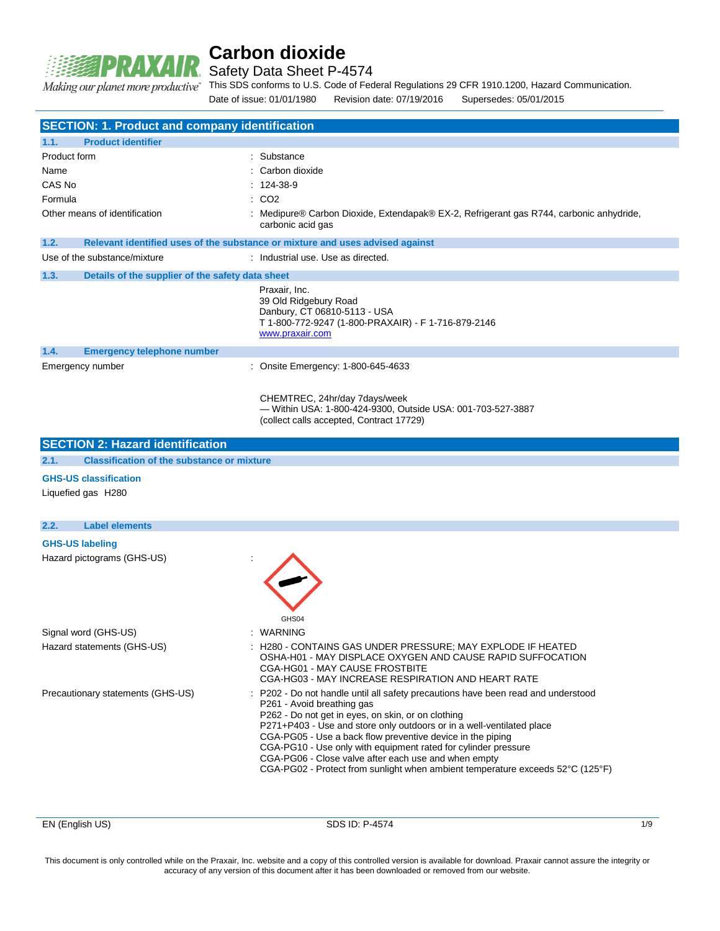

Safety Data Sheet P-4574

Making our planet more productive"

This SDS conforms to U.S. Code of Federal Regulations 29 CFR 1910.1200, Hazard Communication.

Date of issue: 01/01/1980 Revision date: 07/19/2016 Supersedes: 05/01/2015

|                        | <b>SECTION: 1. Product and company identification</b> |                                                                                                                                                                                                                                                                                                                                                                                                                                                                                                                        |
|------------------------|-------------------------------------------------------|------------------------------------------------------------------------------------------------------------------------------------------------------------------------------------------------------------------------------------------------------------------------------------------------------------------------------------------------------------------------------------------------------------------------------------------------------------------------------------------------------------------------|
| 1.1.                   | <b>Product identifier</b>                             |                                                                                                                                                                                                                                                                                                                                                                                                                                                                                                                        |
| Product form           |                                                       | Substance                                                                                                                                                                                                                                                                                                                                                                                                                                                                                                              |
| Name                   |                                                       | Carbon dioxide                                                                                                                                                                                                                                                                                                                                                                                                                                                                                                         |
| CAS No                 |                                                       | 124-38-9                                                                                                                                                                                                                                                                                                                                                                                                                                                                                                               |
| Formula                |                                                       | CO <sub>2</sub>                                                                                                                                                                                                                                                                                                                                                                                                                                                                                                        |
|                        | Other means of identification                         | Medipure® Carbon Dioxide, Extendapak® EX-2, Refrigerant gas R744, carbonic anhydride,<br>carbonic acid gas                                                                                                                                                                                                                                                                                                                                                                                                             |
| 1.2.                   |                                                       | Relevant identified uses of the substance or mixture and uses advised against                                                                                                                                                                                                                                                                                                                                                                                                                                          |
|                        | Use of the substance/mixture                          | : Industrial use, Use as directed.                                                                                                                                                                                                                                                                                                                                                                                                                                                                                     |
| 1.3.                   | Details of the supplier of the safety data sheet      |                                                                                                                                                                                                                                                                                                                                                                                                                                                                                                                        |
|                        |                                                       | Praxair, Inc.<br>39 Old Ridgebury Road<br>Danbury, CT 06810-5113 - USA<br>T 1-800-772-9247 (1-800-PRAXAIR) - F 1-716-879-2146<br>www.praxair.com                                                                                                                                                                                                                                                                                                                                                                       |
| 1.4.                   | <b>Emergency telephone number</b>                     |                                                                                                                                                                                                                                                                                                                                                                                                                                                                                                                        |
|                        | Emergency number                                      | : Onsite Emergency: 1-800-645-4633                                                                                                                                                                                                                                                                                                                                                                                                                                                                                     |
|                        |                                                       | CHEMTREC, 24hr/day 7days/week<br>- Within USA: 1-800-424-9300, Outside USA: 001-703-527-3887<br>(collect calls accepted, Contract 17729)                                                                                                                                                                                                                                                                                                                                                                               |
|                        | <b>SECTION 2: Hazard identification</b>               |                                                                                                                                                                                                                                                                                                                                                                                                                                                                                                                        |
| 2.1.                   | <b>Classification of the substance or mixture</b>     |                                                                                                                                                                                                                                                                                                                                                                                                                                                                                                                        |
|                        | <b>GHS-US classification</b>                          |                                                                                                                                                                                                                                                                                                                                                                                                                                                                                                                        |
|                        | Liquefied gas H280                                    |                                                                                                                                                                                                                                                                                                                                                                                                                                                                                                                        |
| 2.2.                   | <b>Label elements</b>                                 |                                                                                                                                                                                                                                                                                                                                                                                                                                                                                                                        |
| <b>GHS-US labeling</b> |                                                       |                                                                                                                                                                                                                                                                                                                                                                                                                                                                                                                        |
|                        | Hazard pictograms (GHS-US)                            | GHS04                                                                                                                                                                                                                                                                                                                                                                                                                                                                                                                  |
|                        | Signal word (GHS-US)                                  | WARNING                                                                                                                                                                                                                                                                                                                                                                                                                                                                                                                |
|                        | Hazard statements (GHS-US)                            | : H280 - CONTAINS GAS UNDER PRESSURE; MAY EXPLODE IF HEATED<br>OSHA-H01 - MAY DISPLACE OXYGEN AND CAUSE RAPID SUFFOCATION<br>CGA-HG01 - MAY CAUSE FROSTBITE<br>CGA-HG03 - MAY INCREASE RESPIRATION AND HEART RATE                                                                                                                                                                                                                                                                                                      |
|                        | Precautionary statements (GHS-US)                     | P202 - Do not handle until all safety precautions have been read and understood<br>P261 - Avoid breathing gas<br>P262 - Do not get in eyes, on skin, or on clothing<br>P271+P403 - Use and store only outdoors or in a well-ventilated place<br>CGA-PG05 - Use a back flow preventive device in the piping<br>CGA-PG10 - Use only with equipment rated for cylinder pressure<br>CGA-PG06 - Close valve after each use and when empty<br>CGA-PG02 - Protect from sunlight when ambient temperature exceeds 52°C (125°F) |

EN (English US) SDS ID: P-4574 1/9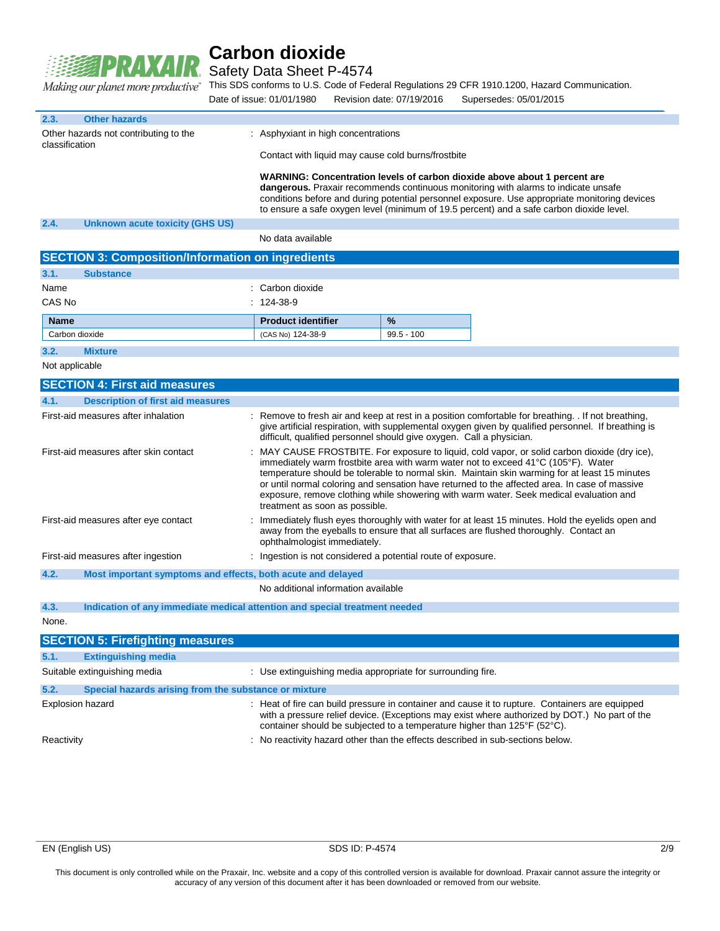

Safety Data Sheet P-4574

This SDS conforms to U.S. Code of Federal Regulations 29 CFR 1910.1200, Hazard Communication.

|                                                                                                                                                                                                                                                                                                                         | $\sigma$ promot more produced $\sigma$                                     | Date of issue: 01/01/1980                                   |                                                                                                                                                                                                                          | Revision date: 07/19/2016                                    | Supersedes: 05/01/2015                                                                                                                                                                                                                                                                                                                                                                                                                                                       |  |
|-------------------------------------------------------------------------------------------------------------------------------------------------------------------------------------------------------------------------------------------------------------------------------------------------------------------------|----------------------------------------------------------------------------|-------------------------------------------------------------|--------------------------------------------------------------------------------------------------------------------------------------------------------------------------------------------------------------------------|--------------------------------------------------------------|------------------------------------------------------------------------------------------------------------------------------------------------------------------------------------------------------------------------------------------------------------------------------------------------------------------------------------------------------------------------------------------------------------------------------------------------------------------------------|--|
| 2.3.                                                                                                                                                                                                                                                                                                                    | <b>Other hazards</b>                                                       |                                                             |                                                                                                                                                                                                                          |                                                              |                                                                                                                                                                                                                                                                                                                                                                                                                                                                              |  |
| classification                                                                                                                                                                                                                                                                                                          | Other hazards not contributing to the                                      | : Asphyxiant in high concentrations                         |                                                                                                                                                                                                                          |                                                              |                                                                                                                                                                                                                                                                                                                                                                                                                                                                              |  |
|                                                                                                                                                                                                                                                                                                                         |                                                                            |                                                             | Contact with liquid may cause cold burns/frostbite                                                                                                                                                                       |                                                              |                                                                                                                                                                                                                                                                                                                                                                                                                                                                              |  |
|                                                                                                                                                                                                                                                                                                                         |                                                                            |                                                             |                                                                                                                                                                                                                          |                                                              | WARNING: Concentration levels of carbon dioxide above about 1 percent are<br>dangerous. Praxair recommends continuous monitoring with alarms to indicate unsafe<br>conditions before and during potential personnel exposure. Use appropriate monitoring devices<br>to ensure a safe oxygen level (minimum of 19.5 percent) and a safe carbon dioxide level.                                                                                                                 |  |
| 2.4.                                                                                                                                                                                                                                                                                                                    | <b>Unknown acute toxicity (GHS US)</b>                                     |                                                             |                                                                                                                                                                                                                          |                                                              |                                                                                                                                                                                                                                                                                                                                                                                                                                                                              |  |
|                                                                                                                                                                                                                                                                                                                         |                                                                            | No data available                                           |                                                                                                                                                                                                                          |                                                              |                                                                                                                                                                                                                                                                                                                                                                                                                                                                              |  |
|                                                                                                                                                                                                                                                                                                                         | <b>SECTION 3: Composition/Information on ingredients</b>                   |                                                             |                                                                                                                                                                                                                          |                                                              |                                                                                                                                                                                                                                                                                                                                                                                                                                                                              |  |
| 3.1.                                                                                                                                                                                                                                                                                                                    | <b>Substance</b>                                                           |                                                             |                                                                                                                                                                                                                          |                                                              |                                                                                                                                                                                                                                                                                                                                                                                                                                                                              |  |
| Name                                                                                                                                                                                                                                                                                                                    |                                                                            | : Carbon dioxide                                            |                                                                                                                                                                                                                          |                                                              |                                                                                                                                                                                                                                                                                                                                                                                                                                                                              |  |
| CAS No                                                                                                                                                                                                                                                                                                                  |                                                                            | $: 124-38-9$                                                |                                                                                                                                                                                                                          |                                                              |                                                                                                                                                                                                                                                                                                                                                                                                                                                                              |  |
| <b>Name</b>                                                                                                                                                                                                                                                                                                             |                                                                            | <b>Product identifier</b>                                   |                                                                                                                                                                                                                          | %                                                            |                                                                                                                                                                                                                                                                                                                                                                                                                                                                              |  |
|                                                                                                                                                                                                                                                                                                                         | Carbon dioxide                                                             | (CAS No) 124-38-9                                           |                                                                                                                                                                                                                          | $99.5 - 100$                                                 |                                                                                                                                                                                                                                                                                                                                                                                                                                                                              |  |
| 3.2.                                                                                                                                                                                                                                                                                                                    | <b>Mixture</b>                                                             |                                                             |                                                                                                                                                                                                                          |                                                              |                                                                                                                                                                                                                                                                                                                                                                                                                                                                              |  |
| Not applicable                                                                                                                                                                                                                                                                                                          |                                                                            |                                                             |                                                                                                                                                                                                                          |                                                              |                                                                                                                                                                                                                                                                                                                                                                                                                                                                              |  |
|                                                                                                                                                                                                                                                                                                                         | <b>SECTION 4: First aid measures</b>                                       |                                                             |                                                                                                                                                                                                                          |                                                              |                                                                                                                                                                                                                                                                                                                                                                                                                                                                              |  |
| 4.1.                                                                                                                                                                                                                                                                                                                    | <b>Description of first aid measures</b>                                   |                                                             |                                                                                                                                                                                                                          |                                                              |                                                                                                                                                                                                                                                                                                                                                                                                                                                                              |  |
| First-aid measures after inhalation<br>: Remove to fresh air and keep at rest in a position comfortable for breathing. If not breathing,<br>give artificial respiration, with supplemental oxygen given by qualified personnel. If breathing is<br>difficult, qualified personnel should give oxygen. Call a physician. |                                                                            |                                                             |                                                                                                                                                                                                                          |                                                              |                                                                                                                                                                                                                                                                                                                                                                                                                                                                              |  |
|                                                                                                                                                                                                                                                                                                                         | First-aid measures after skin contact                                      | treatment as soon as possible.                              |                                                                                                                                                                                                                          |                                                              | MAY CAUSE FROSTBITE. For exposure to liquid, cold vapor, or solid carbon dioxide (dry ice),<br>immediately warm frostbite area with warm water not to exceed 41°C (105°F). Water<br>temperature should be tolerable to normal skin. Maintain skin warming for at least 15 minutes<br>or until normal coloring and sensation have returned to the affected area. In case of massive<br>exposure, remove clothing while showering with warm water. Seek medical evaluation and |  |
|                                                                                                                                                                                                                                                                                                                         | First-aid measures after eye contact                                       |                                                             | Immediately flush eyes thoroughly with water for at least 15 minutes. Hold the eyelids open and<br>away from the eyeballs to ensure that all surfaces are flushed thoroughly. Contact an<br>ophthalmologist immediately. |                                                              |                                                                                                                                                                                                                                                                                                                                                                                                                                                                              |  |
|                                                                                                                                                                                                                                                                                                                         | First-aid measures after ingestion                                         |                                                             |                                                                                                                                                                                                                          | : Ingestion is not considered a potential route of exposure. |                                                                                                                                                                                                                                                                                                                                                                                                                                                                              |  |
| 4.2.                                                                                                                                                                                                                                                                                                                    |                                                                            | Most important symptoms and effects, both acute and delayed |                                                                                                                                                                                                                          |                                                              |                                                                                                                                                                                                                                                                                                                                                                                                                                                                              |  |
|                                                                                                                                                                                                                                                                                                                         |                                                                            | No additional information available                         |                                                                                                                                                                                                                          |                                                              |                                                                                                                                                                                                                                                                                                                                                                                                                                                                              |  |
| 4.3.                                                                                                                                                                                                                                                                                                                    | Indication of any immediate medical attention and special treatment needed |                                                             |                                                                                                                                                                                                                          |                                                              |                                                                                                                                                                                                                                                                                                                                                                                                                                                                              |  |
| None.                                                                                                                                                                                                                                                                                                                   |                                                                            |                                                             |                                                                                                                                                                                                                          |                                                              |                                                                                                                                                                                                                                                                                                                                                                                                                                                                              |  |
|                                                                                                                                                                                                                                                                                                                         | <b>SECTION 5: Firefighting measures</b>                                    |                                                             |                                                                                                                                                                                                                          |                                                              |                                                                                                                                                                                                                                                                                                                                                                                                                                                                              |  |
| 5.1.                                                                                                                                                                                                                                                                                                                    | <b>Extinguishing media</b>                                                 |                                                             |                                                                                                                                                                                                                          |                                                              |                                                                                                                                                                                                                                                                                                                                                                                                                                                                              |  |
|                                                                                                                                                                                                                                                                                                                         | Suitable extinguishing media                                               |                                                             |                                                                                                                                                                                                                          | : Use extinguishing media appropriate for surrounding fire.  |                                                                                                                                                                                                                                                                                                                                                                                                                                                                              |  |
| 5.2.                                                                                                                                                                                                                                                                                                                    | Special hazards arising from the substance or mixture                      |                                                             |                                                                                                                                                                                                                          |                                                              |                                                                                                                                                                                                                                                                                                                                                                                                                                                                              |  |

Reactivity **State 1 and 1 and 1 and 1 and 1 and 1 and 1 and 1 and 1 and 1 and 1 and 1 and 1 and 1 and 1 and 1 and 1 and 1 and 1 and 1 and 1 and 1 and 1 and 1 and 1 and 1 and 1 and 1 and 1 and 1 and 1 and 1 and 1 and 1 and** 

container should be subjected to a temperature higher than 125°F (52°C).

with a pressure relief device. (Exceptions may exist where authorized by DOT.) No part of the

Explosion hazard **in the can build pressure in container and cause it to rupture.** Containers are equipped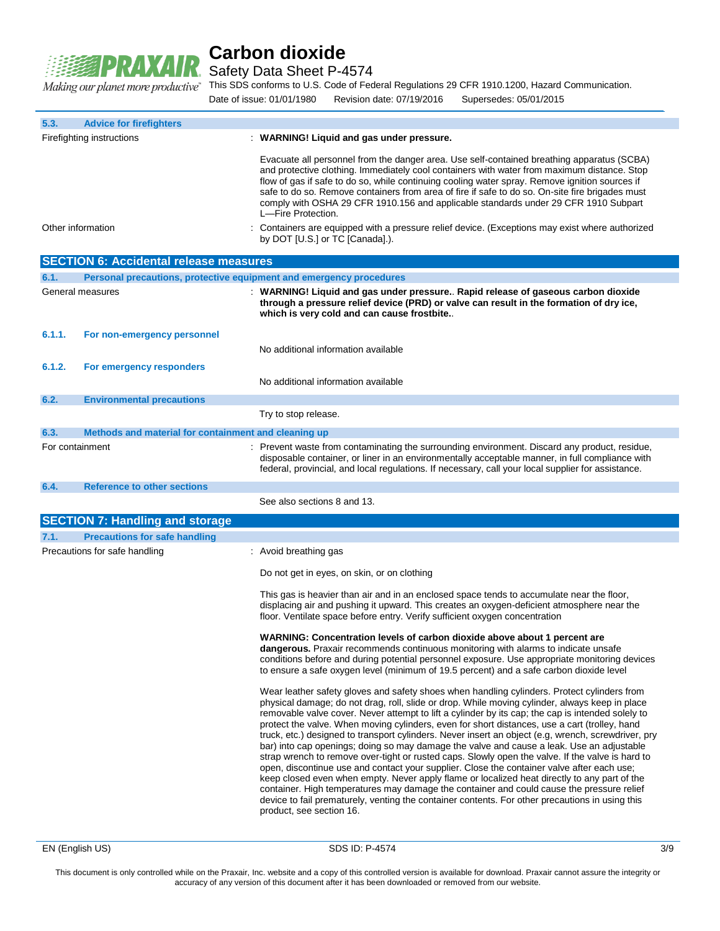

Safety Data Sheet P-4574

This SDS conforms to U.S. Code of Federal Regulations 29 CFR 1910.1200, Hazard Communication. Date of issue: 01/01/1980 Revision date: 07/19/2016 Supersedes: 05/01/2015

| 5.3.            | <b>Advice for firefighters</b>                                      |                                                                                                                                                                                                                                                                                                                                                                                                                                                                                                                                                                                                                                                                                                                                                                                                                                                                                                                                                                                                                                                                                                                                       |
|-----------------|---------------------------------------------------------------------|---------------------------------------------------------------------------------------------------------------------------------------------------------------------------------------------------------------------------------------------------------------------------------------------------------------------------------------------------------------------------------------------------------------------------------------------------------------------------------------------------------------------------------------------------------------------------------------------------------------------------------------------------------------------------------------------------------------------------------------------------------------------------------------------------------------------------------------------------------------------------------------------------------------------------------------------------------------------------------------------------------------------------------------------------------------------------------------------------------------------------------------|
|                 | Firefighting instructions                                           | : WARNING! Liquid and gas under pressure.                                                                                                                                                                                                                                                                                                                                                                                                                                                                                                                                                                                                                                                                                                                                                                                                                                                                                                                                                                                                                                                                                             |
|                 |                                                                     | Evacuate all personnel from the danger area. Use self-contained breathing apparatus (SCBA)<br>and protective clothing. Immediately cool containers with water from maximum distance. Stop<br>flow of gas if safe to do so, while continuing cooling water spray. Remove ignition sources if<br>safe to do so. Remove containers from area of fire if safe to do so. On-site fire brigades must<br>comply with OSHA 29 CFR 1910.156 and applicable standards under 29 CFR 1910 Subpart<br>L-Fire Protection.                                                                                                                                                                                                                                                                                                                                                                                                                                                                                                                                                                                                                           |
|                 | Other information                                                   | Containers are equipped with a pressure relief device. (Exceptions may exist where authorized<br>by DOT [U.S.] or TC [Canada].).                                                                                                                                                                                                                                                                                                                                                                                                                                                                                                                                                                                                                                                                                                                                                                                                                                                                                                                                                                                                      |
|                 | <b>SECTION 6: Accidental release measures</b>                       |                                                                                                                                                                                                                                                                                                                                                                                                                                                                                                                                                                                                                                                                                                                                                                                                                                                                                                                                                                                                                                                                                                                                       |
| 6.1.            | Personal precautions, protective equipment and emergency procedures |                                                                                                                                                                                                                                                                                                                                                                                                                                                                                                                                                                                                                                                                                                                                                                                                                                                                                                                                                                                                                                                                                                                                       |
|                 | General measures                                                    | : WARNING! Liquid and gas under pressure Rapid release of gaseous carbon dioxide<br>through a pressure relief device (PRD) or valve can result in the formation of dry ice,<br>which is very cold and can cause frostbite                                                                                                                                                                                                                                                                                                                                                                                                                                                                                                                                                                                                                                                                                                                                                                                                                                                                                                             |
| 6.1.1.          | For non-emergency personnel                                         | No additional information available                                                                                                                                                                                                                                                                                                                                                                                                                                                                                                                                                                                                                                                                                                                                                                                                                                                                                                                                                                                                                                                                                                   |
| 6.1.2.          | For emergency responders                                            | No additional information available                                                                                                                                                                                                                                                                                                                                                                                                                                                                                                                                                                                                                                                                                                                                                                                                                                                                                                                                                                                                                                                                                                   |
| 6.2.            | <b>Environmental precautions</b>                                    |                                                                                                                                                                                                                                                                                                                                                                                                                                                                                                                                                                                                                                                                                                                                                                                                                                                                                                                                                                                                                                                                                                                                       |
|                 |                                                                     | Try to stop release.                                                                                                                                                                                                                                                                                                                                                                                                                                                                                                                                                                                                                                                                                                                                                                                                                                                                                                                                                                                                                                                                                                                  |
| 6.3.            | Methods and material for containment and cleaning up                |                                                                                                                                                                                                                                                                                                                                                                                                                                                                                                                                                                                                                                                                                                                                                                                                                                                                                                                                                                                                                                                                                                                                       |
| For containment |                                                                     | : Prevent waste from contaminating the surrounding environment. Discard any product, residue,<br>disposable container, or liner in an environmentally acceptable manner, in full compliance with<br>federal, provincial, and local regulations. If necessary, call your local supplier for assistance.                                                                                                                                                                                                                                                                                                                                                                                                                                                                                                                                                                                                                                                                                                                                                                                                                                |
| 6.4.            | <b>Reference to other sections</b>                                  |                                                                                                                                                                                                                                                                                                                                                                                                                                                                                                                                                                                                                                                                                                                                                                                                                                                                                                                                                                                                                                                                                                                                       |
|                 |                                                                     | See also sections 8 and 13.                                                                                                                                                                                                                                                                                                                                                                                                                                                                                                                                                                                                                                                                                                                                                                                                                                                                                                                                                                                                                                                                                                           |
|                 | <b>SECTION 7: Handling and storage</b>                              |                                                                                                                                                                                                                                                                                                                                                                                                                                                                                                                                                                                                                                                                                                                                                                                                                                                                                                                                                                                                                                                                                                                                       |
| 7.1.            | <b>Precautions for safe handling</b>                                |                                                                                                                                                                                                                                                                                                                                                                                                                                                                                                                                                                                                                                                                                                                                                                                                                                                                                                                                                                                                                                                                                                                                       |
|                 | Precautions for safe handling                                       | : Avoid breathing gas                                                                                                                                                                                                                                                                                                                                                                                                                                                                                                                                                                                                                                                                                                                                                                                                                                                                                                                                                                                                                                                                                                                 |
|                 |                                                                     | Do not get in eyes, on skin, or on clothing                                                                                                                                                                                                                                                                                                                                                                                                                                                                                                                                                                                                                                                                                                                                                                                                                                                                                                                                                                                                                                                                                           |
|                 |                                                                     | This gas is heavier than air and in an enclosed space tends to accumulate near the floor,<br>displacing air and pushing it upward. This creates an oxygen-deficient atmosphere near the<br>floor. Ventilate space before entry. Verify sufficient oxygen concentration                                                                                                                                                                                                                                                                                                                                                                                                                                                                                                                                                                                                                                                                                                                                                                                                                                                                |
|                 |                                                                     | WARNING: Concentration levels of carbon dioxide above about 1 percent are<br>dangerous. Praxair recommends continuous monitoring with alarms to indicate unsafe<br>conditions before and during potential personnel exposure. Use appropriate monitoring devices<br>to ensure a safe oxygen level (minimum of 19.5 percent) and a safe carbon dioxide level                                                                                                                                                                                                                                                                                                                                                                                                                                                                                                                                                                                                                                                                                                                                                                           |
|                 |                                                                     | Wear leather safety gloves and safety shoes when handling cylinders. Protect cylinders from<br>physical damage; do not drag, roll, slide or drop. While moving cylinder, always keep in place<br>removable valve cover. Never attempt to lift a cylinder by its cap; the cap is intended solely to<br>protect the valve. When moving cylinders, even for short distances, use a cart (trolley, hand<br>truck, etc.) designed to transport cylinders. Never insert an object (e.g, wrench, screwdriver, pry<br>bar) into cap openings; doing so may damage the valve and cause a leak. Use an adjustable<br>strap wrench to remove over-tight or rusted caps. Slowly open the valve. If the valve is hard to<br>open, discontinue use and contact your supplier. Close the container valve after each use;<br>keep closed even when empty. Never apply flame or localized heat directly to any part of the<br>container. High temperatures may damage the container and could cause the pressure relief<br>device to fail prematurely, venting the container contents. For other precautions in using this<br>product, see section 16. |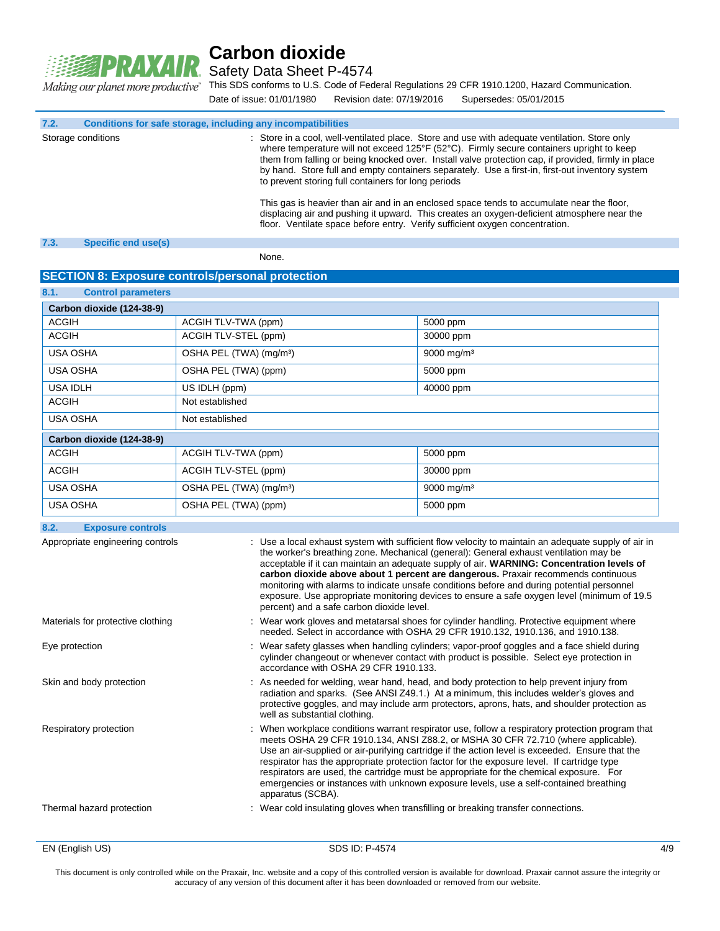

Safety Data Sheet P-4574

This SDS conforms to U.S. Code of Federal Regulations 29 CFR 1910.1200, Hazard Communication. Making our planet more productive" Date of issue: 01/01/1980 Revision date: 07/19/2016 Supersedes: 05/01/2015

**7.2. Conditions for safe storage, including any incompatibilities**

Storage conditions **interval of the Conduct Conducts**: Store in a cool, well-ventilated place. Store and use with adequate ventilation. Store only where temperature will not exceed 125°F (52°C). Firmly secure containers upright to keep them from falling or being knocked over. Install valve protection cap, if provided, firmly in place by hand. Store full and empty containers separately. Use a first-in, first-out inventory system to prevent storing full containers for long periods

> This gas is heavier than air and in an enclosed space tends to accumulate near the floor, displacing air and pushing it upward. This creates an oxygen-deficient atmosphere near the floor. Ventilate space before entry. Verify sufficient oxygen concentration.

#### **7.3. Specific end use(s)**

None.

#### **SECTION 8: Exposure controls/personal protection**

| 8.1.<br><b>Control parameters</b> |                                     |                        |  |  |  |
|-----------------------------------|-------------------------------------|------------------------|--|--|--|
| Carbon dioxide (124-38-9)         |                                     |                        |  |  |  |
| <b>ACGIH</b>                      | ACGIH TLV-TWA (ppm)                 | 5000 ppm               |  |  |  |
| <b>ACGIH</b>                      | ACGIH TLV-STEL (ppm)                | 30000 ppm              |  |  |  |
| USA OSHA                          | OSHA PEL (TWA) (mg/m <sup>3</sup> ) | 9000 mg/m <sup>3</sup> |  |  |  |
| <b>USA OSHA</b>                   | OSHA PEL (TWA) (ppm)                | 5000 ppm               |  |  |  |
| <b>USA IDLH</b>                   | US IDLH (ppm)<br>40000 ppm          |                        |  |  |  |
| <b>ACGIH</b>                      | Not established                     |                        |  |  |  |
| <b>USA OSHA</b>                   | Not established                     |                        |  |  |  |
| Carbon dioxide (124-38-9)         |                                     |                        |  |  |  |
| <b>ACGIH</b>                      | ACGIH TLV-TWA (ppm)                 | 5000 ppm               |  |  |  |
| <b>ACGIH</b>                      | ACGIH TLV-STEL (ppm)                | 30000 ppm              |  |  |  |
| <b>USA OSHA</b>                   | OSHA PEL (TWA) (mg/m <sup>3</sup> ) | 9000 mg/m <sup>3</sup> |  |  |  |
| <b>USA OSHA</b>                   | OSHA PEL (TWA) (ppm)                | 5000 ppm               |  |  |  |

### **8.2. Exposure controls**

| Appropriate engineering controls  | : Use a local exhaust system with sufficient flow velocity to maintain an adequate supply of air in<br>the worker's breathing zone. Mechanical (general): General exhaust ventilation may be<br>acceptable if it can maintain an adequate supply of air. WARNING: Concentration levels of<br>carbon dioxide above about 1 percent are dangerous. Praxair recommends continuous<br>monitoring with alarms to indicate unsafe conditions before and during potential personnel<br>exposure. Use appropriate monitoring devices to ensure a safe oxygen level (minimum of 19.5<br>percent) and a safe carbon dioxide level. |
|-----------------------------------|--------------------------------------------------------------------------------------------------------------------------------------------------------------------------------------------------------------------------------------------------------------------------------------------------------------------------------------------------------------------------------------------------------------------------------------------------------------------------------------------------------------------------------------------------------------------------------------------------------------------------|
| Materials for protective clothing | : Wear work gloves and metatarsal shoes for cylinder handling. Protective equipment where<br>needed. Select in accordance with OSHA 29 CFR 1910.132, 1910.136, and 1910.138.                                                                                                                                                                                                                                                                                                                                                                                                                                             |
| Eye protection                    | : Wear safety glasses when handling cylinders; vapor-proof goggles and a face shield during<br>cylinder changeout or whenever contact with product is possible. Select eye protection in<br>accordance with OSHA 29 CFR 1910.133.                                                                                                                                                                                                                                                                                                                                                                                        |
| Skin and body protection          | : As needed for welding, wear hand, head, and body protection to help prevent injury from<br>radiation and sparks. (See ANSI Z49.1.) At a minimum, this includes welder's gloves and<br>protective goggles, and may include arm protectors, aprons, hats, and shoulder protection as<br>well as substantial clothing.                                                                                                                                                                                                                                                                                                    |
| Respiratory protection            | : When workplace conditions warrant respirator use, follow a respiratory protection program that<br>meets OSHA 29 CFR 1910.134, ANSI Z88.2, or MSHA 30 CFR 72.710 (where applicable).<br>Use an air-supplied or air-purifying cartridge if the action level is exceeded. Ensure that the<br>respirator has the appropriate protection factor for the exposure level. If cartridge type<br>respirators are used, the cartridge must be appropriate for the chemical exposure. For<br>emergencies or instances with unknown exposure levels, use a self-contained breathing<br>apparatus (SCBA).                           |
| Thermal hazard protection         | : Wear cold insulating gloves when transfilling or breaking transfer connections.                                                                                                                                                                                                                                                                                                                                                                                                                                                                                                                                        |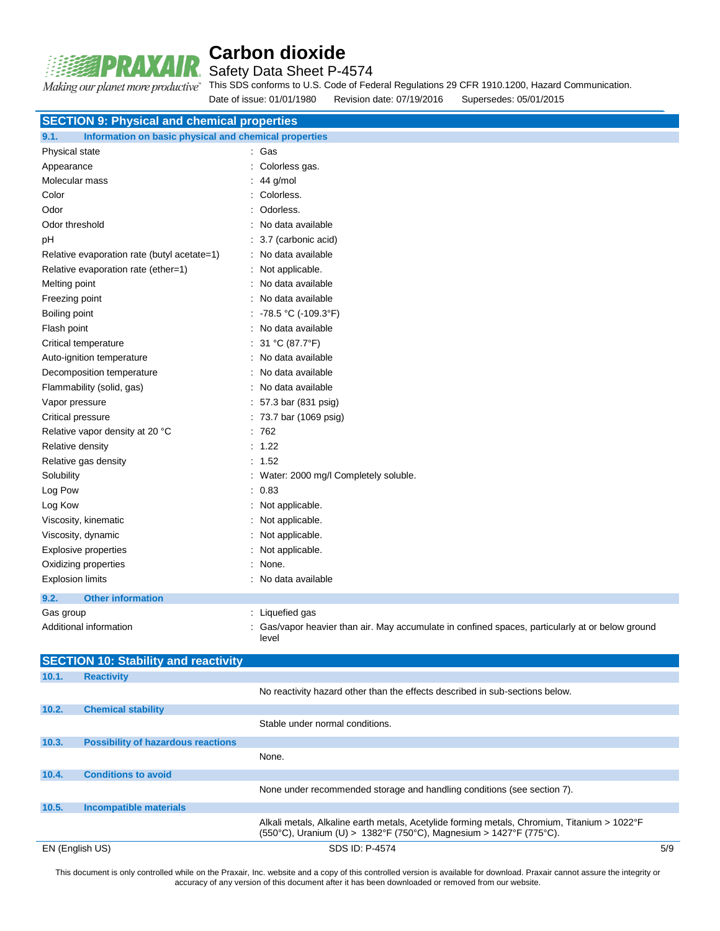

Safety Data Sheet P-4574

Making our planet more productive" This SDS conforms to U.S. Code of Federal Regulations 29 CFR 1910.1200, Hazard Communication.<br>Date of issue: 01/01/1980 - Revision date: 07/19/2016 - Supersedes: 05/01/2015 Date of issue: 01/01/1980  $\overline{R}$  Revision date: 07/19/2016

|                                 |                                                       | Date of ISSUE. 01/01/1960       | Revision date. 07/19/2010                                                    | Supersedes: 05/01/2015                                                                           |  |  |  |
|---------------------------------|-------------------------------------------------------|---------------------------------|------------------------------------------------------------------------------|--------------------------------------------------------------------------------------------------|--|--|--|
|                                 | <b>SECTION 9: Physical and chemical properties</b>    |                                 |                                                                              |                                                                                                  |  |  |  |
| 9.1.                            | Information on basic physical and chemical properties |                                 |                                                                              |                                                                                                  |  |  |  |
| Physical state                  |                                                       | : Gas                           |                                                                              |                                                                                                  |  |  |  |
| Appearance                      |                                                       | : Colorless gas.                |                                                                              |                                                                                                  |  |  |  |
| Molecular mass                  |                                                       | $: 44$ g/mol                    |                                                                              |                                                                                                  |  |  |  |
| Color                           |                                                       | : Colorless.                    |                                                                              |                                                                                                  |  |  |  |
| Odor                            |                                                       | : Odorless.                     |                                                                              |                                                                                                  |  |  |  |
| Odor threshold                  |                                                       | : No data available             |                                                                              |                                                                                                  |  |  |  |
| рH                              |                                                       | : 3.7 (carbonic acid)           |                                                                              |                                                                                                  |  |  |  |
|                                 | Relative evaporation rate (butyl acetate=1)           | : No data available             |                                                                              |                                                                                                  |  |  |  |
|                                 | Relative evaporation rate (ether=1)                   | : Not applicable.               |                                                                              |                                                                                                  |  |  |  |
| Melting point                   |                                                       | : No data available             |                                                                              |                                                                                                  |  |  |  |
| Freezing point                  |                                                       | : No data available             |                                                                              |                                                                                                  |  |  |  |
| Boiling point                   |                                                       | : -78.5 °C (-109.3°F)           |                                                                              |                                                                                                  |  |  |  |
| Flash point                     |                                                       | : No data available             |                                                                              |                                                                                                  |  |  |  |
|                                 | Critical temperature                                  | : 31 °C (87.7°F)                |                                                                              |                                                                                                  |  |  |  |
|                                 | Auto-ignition temperature                             | : No data available             |                                                                              |                                                                                                  |  |  |  |
|                                 | Decomposition temperature                             | No data available               |                                                                              |                                                                                                  |  |  |  |
|                                 | Flammability (solid, gas)                             | : No data available             |                                                                              |                                                                                                  |  |  |  |
| Vapor pressure                  |                                                       |                                 | : 57.3 bar (831 psig)                                                        |                                                                                                  |  |  |  |
| Critical pressure               |                                                       |                                 | : 73.7 bar (1069 psig)                                                       |                                                                                                  |  |  |  |
| Relative vapor density at 20 °C |                                                       | : 762                           |                                                                              |                                                                                                  |  |  |  |
| Relative density                |                                                       | : 1.22                          |                                                                              |                                                                                                  |  |  |  |
|                                 | Relative gas density                                  | : 1.52                          |                                                                              |                                                                                                  |  |  |  |
| Solubility                      |                                                       |                                 | : Water: 2000 mg/l Completely soluble.                                       |                                                                                                  |  |  |  |
| Log Pow                         |                                                       | : 0.83                          |                                                                              |                                                                                                  |  |  |  |
| Log Kow                         |                                                       | : Not applicable.               |                                                                              |                                                                                                  |  |  |  |
|                                 | Viscosity, kinematic                                  | : Not applicable.               |                                                                              |                                                                                                  |  |  |  |
|                                 | Viscosity, dynamic                                    | : Not applicable.               |                                                                              |                                                                                                  |  |  |  |
|                                 | <b>Explosive properties</b>                           | : Not applicable.               |                                                                              |                                                                                                  |  |  |  |
|                                 | Oxidizing properties                                  | : None.                         |                                                                              |                                                                                                  |  |  |  |
| <b>Explosion limits</b>         |                                                       | : No data available             |                                                                              |                                                                                                  |  |  |  |
| 9.2.                            | <b>Other information</b>                              |                                 |                                                                              |                                                                                                  |  |  |  |
| Gas group                       |                                                       | : Liquefied gas                 |                                                                              |                                                                                                  |  |  |  |
|                                 | Additional information                                | level                           |                                                                              | : Gas/vapor heavier than air. May accumulate in confined spaces, particularly at or below ground |  |  |  |
|                                 | <b>SECTION 10: Stability and reactivity</b>           |                                 |                                                                              |                                                                                                  |  |  |  |
| 10.1.                           | <b>Reactivity</b>                                     |                                 |                                                                              |                                                                                                  |  |  |  |
|                                 |                                                       |                                 | No reactivity hazard other than the effects described in sub-sections below. |                                                                                                  |  |  |  |
| 10.2.                           | <b>Chemical stability</b>                             |                                 |                                                                              |                                                                                                  |  |  |  |
|                                 |                                                       | Stable under normal conditions. |                                                                              |                                                                                                  |  |  |  |
| 10.3.                           | <b>Possibility of hazardous reactions</b>             |                                 |                                                                              |                                                                                                  |  |  |  |
|                                 |                                                       | None.                           |                                                                              |                                                                                                  |  |  |  |
|                                 |                                                       |                                 |                                                                              |                                                                                                  |  |  |  |
| 10.4.                           | <b>Conditions to avoid</b>                            |                                 |                                                                              |                                                                                                  |  |  |  |

None under recommended storage and handling conditions (see section 7). **10.5. Incompatible materials** Alkali metals, Alkaline earth metals, Acetylide forming metals, Chromium, Titanium > 1022°F (550°C), Uranium (U) > 1382°F (750°C), Magnesium > 1427°F (775°C).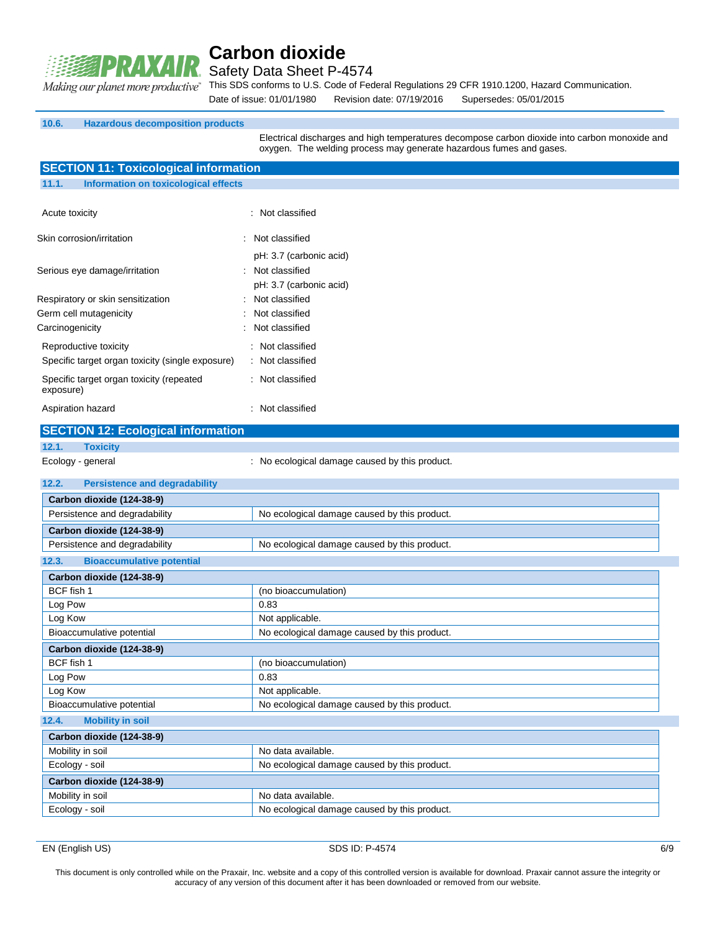

Safety Data Sheet P-4574

This SDS conforms to U.S. Code of Federal Regulations 29 CFR 1910.1200, Hazard Communication.

Date of issue: 01/01/1980 Revision date: 07/19/2016 Supersedes: 05/01/2015

#### **10.6. Hazardous decomposition products**

**SECTION 11: Toxicological information**

Electrical discharges and high temperatures decompose carbon dioxide into carbon monoxide and oxygen. The welding process may generate hazardous fumes and gases.

| <b>ULUTION TT. TUXICULUSICAL INIUI MAGGIT</b>                             |                                                                      |  |
|---------------------------------------------------------------------------|----------------------------------------------------------------------|--|
| <b>Information on toxicological effects</b><br>11.1.                      |                                                                      |  |
| Acute toxicity                                                            | : Not classified                                                     |  |
| Skin corrosion/irritation                                                 | Not classified                                                       |  |
| Serious eye damage/irritation                                             | pH: 3.7 (carbonic acid)<br>Not classified<br>pH: 3.7 (carbonic acid) |  |
| Respiratory or skin sensitization<br>Germ cell mutagenicity               | Not classified<br>Not classified                                     |  |
| Carcinogenicity                                                           | Not classified                                                       |  |
| Reproductive toxicity<br>Specific target organ toxicity (single exposure) | : Not classified<br>: Not classified                                 |  |
| Specific target organ toxicity (repeated<br>exposure)                     | : Not classified                                                     |  |
| Aspiration hazard                                                         | : Not classified                                                     |  |
| <b>SECTION 12: Ecological information</b>                                 |                                                                      |  |
| 12.1.<br><b>Toxicity</b>                                                  |                                                                      |  |
| Ecology - general                                                         | : No ecological damage caused by this product.                       |  |
| 12.2.<br><b>Persistence and degradability</b>                             |                                                                      |  |
| Carbon dioxide (124-38-9)                                                 |                                                                      |  |
| Persistence and degradability                                             | No ecological damage caused by this product.                         |  |
| Carbon dioxide (124-38-9)                                                 |                                                                      |  |
| Persistence and degradability                                             | No ecological damage caused by this product.                         |  |
| <b>Bioaccumulative potential</b><br>12.3.                                 |                                                                      |  |
| Carbon dioxide (124-38-9)                                                 |                                                                      |  |
| BCF fish 1                                                                | (no bioaccumulation)                                                 |  |
| Log Pow                                                                   | 0.83                                                                 |  |
| Log Kow                                                                   | Not applicable.                                                      |  |
| Bioaccumulative potential                                                 | No ecological damage caused by this product.                         |  |
| Carbon dioxide (124-38-9)                                                 |                                                                      |  |
| BCF fish 1                                                                | (no bioaccumulation)                                                 |  |
| Log Pow                                                                   | 0.83                                                                 |  |
| Log Kow                                                                   | Not applicable.                                                      |  |
| Bioaccumulative potential                                                 | No ecological damage caused by this product.                         |  |
| 12.4.<br><b>Mobility in soil</b>                                          |                                                                      |  |
| Carbon dioxide (124-38-9)                                                 |                                                                      |  |
| Mobility in soil                                                          | No data available.                                                   |  |
| Ecology - soil                                                            | No ecological damage caused by this product.                         |  |
| Carbon dioxide (124-38-9)                                                 |                                                                      |  |
| Mobility in soil                                                          | No data available.                                                   |  |
| Ecology - soil                                                            | No ecological damage caused by this product.                         |  |
|                                                                           |                                                                      |  |

EN (English US) 6/9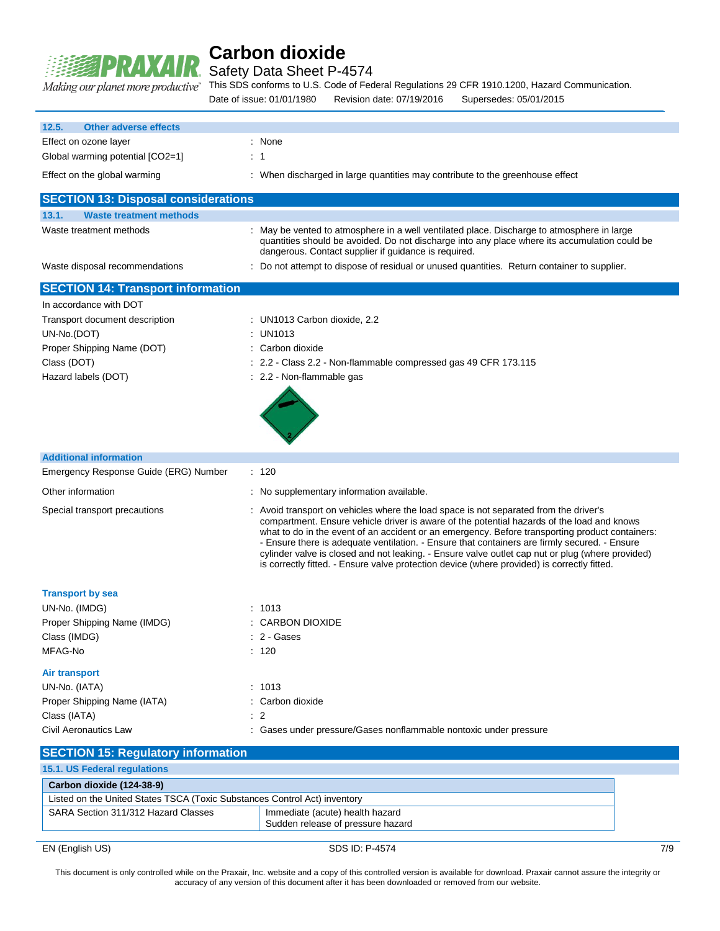

Safety Data Sheet P-4574

This SDS conforms to U.S. Code of Federal Regulations 29 CFR 1910.1200, Hazard Communication.

Date of issue: 01/01/1980 Revision date: 07/19/2016 Supersedes: 05/01/2015

| 12.5.<br><b>Other adverse effects</b>                                     |                                                                                                                                                                                                                                                                                                                                                                                                                                                                                                                                                                                            |
|---------------------------------------------------------------------------|--------------------------------------------------------------------------------------------------------------------------------------------------------------------------------------------------------------------------------------------------------------------------------------------------------------------------------------------------------------------------------------------------------------------------------------------------------------------------------------------------------------------------------------------------------------------------------------------|
| Effect on ozone layer                                                     | : None                                                                                                                                                                                                                                                                                                                                                                                                                                                                                                                                                                                     |
| Global warming potential [CO2=1]                                          | : 1                                                                                                                                                                                                                                                                                                                                                                                                                                                                                                                                                                                        |
| Effect on the global warming                                              | : When discharged in large quantities may contribute to the greenhouse effect                                                                                                                                                                                                                                                                                                                                                                                                                                                                                                              |
| <b>SECTION 13: Disposal considerations</b>                                |                                                                                                                                                                                                                                                                                                                                                                                                                                                                                                                                                                                            |
| 13.1.<br><b>Waste treatment methods</b>                                   |                                                                                                                                                                                                                                                                                                                                                                                                                                                                                                                                                                                            |
| Waste treatment methods                                                   | : May be vented to atmosphere in a well ventilated place. Discharge to atmosphere in large<br>quantities should be avoided. Do not discharge into any place where its accumulation could be<br>dangerous. Contact supplier if guidance is required.                                                                                                                                                                                                                                                                                                                                        |
| Waste disposal recommendations                                            | : Do not attempt to dispose of residual or unused quantities. Return container to supplier.                                                                                                                                                                                                                                                                                                                                                                                                                                                                                                |
| <b>SECTION 14: Transport information</b>                                  |                                                                                                                                                                                                                                                                                                                                                                                                                                                                                                                                                                                            |
| In accordance with DOT                                                    |                                                                                                                                                                                                                                                                                                                                                                                                                                                                                                                                                                                            |
| Transport document description                                            | : UN1013 Carbon dioxide, 2.2                                                                                                                                                                                                                                                                                                                                                                                                                                                                                                                                                               |
| UN-No.(DOT)                                                               | <b>UN1013</b>                                                                                                                                                                                                                                                                                                                                                                                                                                                                                                                                                                              |
| Proper Shipping Name (DOT)                                                | Carbon dioxide                                                                                                                                                                                                                                                                                                                                                                                                                                                                                                                                                                             |
| Class (DOT)                                                               | 2.2 - Class 2.2 - Non-flammable compressed gas 49 CFR 173.115                                                                                                                                                                                                                                                                                                                                                                                                                                                                                                                              |
| Hazard labels (DOT)                                                       | : 2.2 - Non-flammable gas                                                                                                                                                                                                                                                                                                                                                                                                                                                                                                                                                                  |
|                                                                           |                                                                                                                                                                                                                                                                                                                                                                                                                                                                                                                                                                                            |
| <b>Additional information</b>                                             |                                                                                                                                                                                                                                                                                                                                                                                                                                                                                                                                                                                            |
| Emergency Response Guide (ERG) Number                                     | : 120                                                                                                                                                                                                                                                                                                                                                                                                                                                                                                                                                                                      |
| Other information                                                         | : No supplementary information available.                                                                                                                                                                                                                                                                                                                                                                                                                                                                                                                                                  |
| Special transport precautions                                             | : Avoid transport on vehicles where the load space is not separated from the driver's<br>compartment. Ensure vehicle driver is aware of the potential hazards of the load and knows<br>what to do in the event of an accident or an emergency. Before transporting product containers:<br>- Ensure there is adequate ventilation. - Ensure that containers are firmly secured. - Ensure<br>cylinder valve is closed and not leaking. - Ensure valve outlet cap nut or plug (where provided)<br>is correctly fitted. - Ensure valve protection device (where provided) is correctly fitted. |
| <b>Transport by sea</b>                                                   |                                                                                                                                                                                                                                                                                                                                                                                                                                                                                                                                                                                            |
| UN-No. (IMDG)                                                             | : 1013                                                                                                                                                                                                                                                                                                                                                                                                                                                                                                                                                                                     |
| Proper Shipping Name (IMDG)                                               | <b>CARBON DIOXIDE</b>                                                                                                                                                                                                                                                                                                                                                                                                                                                                                                                                                                      |
| Class (IMDG)                                                              | : 2 - Gases                                                                                                                                                                                                                                                                                                                                                                                                                                                                                                                                                                                |
| MFAG-No                                                                   | : 120                                                                                                                                                                                                                                                                                                                                                                                                                                                                                                                                                                                      |
| <b>Air transport</b>                                                      |                                                                                                                                                                                                                                                                                                                                                                                                                                                                                                                                                                                            |
| UN-No. (IATA)                                                             | : 1013                                                                                                                                                                                                                                                                                                                                                                                                                                                                                                                                                                                     |
| Proper Shipping Name (IATA)                                               | : Carbon dioxide                                                                                                                                                                                                                                                                                                                                                                                                                                                                                                                                                                           |
| Class (IATA)                                                              | $\overline{2}$                                                                                                                                                                                                                                                                                                                                                                                                                                                                                                                                                                             |
| Civil Aeronautics Law                                                     | Gases under pressure/Gases nonflammable nontoxic under pressure                                                                                                                                                                                                                                                                                                                                                                                                                                                                                                                            |
| <b>SECTION 15: Regulatory information</b>                                 |                                                                                                                                                                                                                                                                                                                                                                                                                                                                                                                                                                                            |
| 15.1. US Federal regulations                                              |                                                                                                                                                                                                                                                                                                                                                                                                                                                                                                                                                                                            |
| Carbon dioxide (124-38-9)                                                 |                                                                                                                                                                                                                                                                                                                                                                                                                                                                                                                                                                                            |
| Listed on the United States TSCA (Toxic Substances Control Act) inventory |                                                                                                                                                                                                                                                                                                                                                                                                                                                                                                                                                                                            |
| SARA Section 311/312 Hazard Classes                                       | Immediate (acute) health hazard<br>Sudden release of pressure hazard                                                                                                                                                                                                                                                                                                                                                                                                                                                                                                                       |

EN (English US) 8DS ID: P-4574 7/9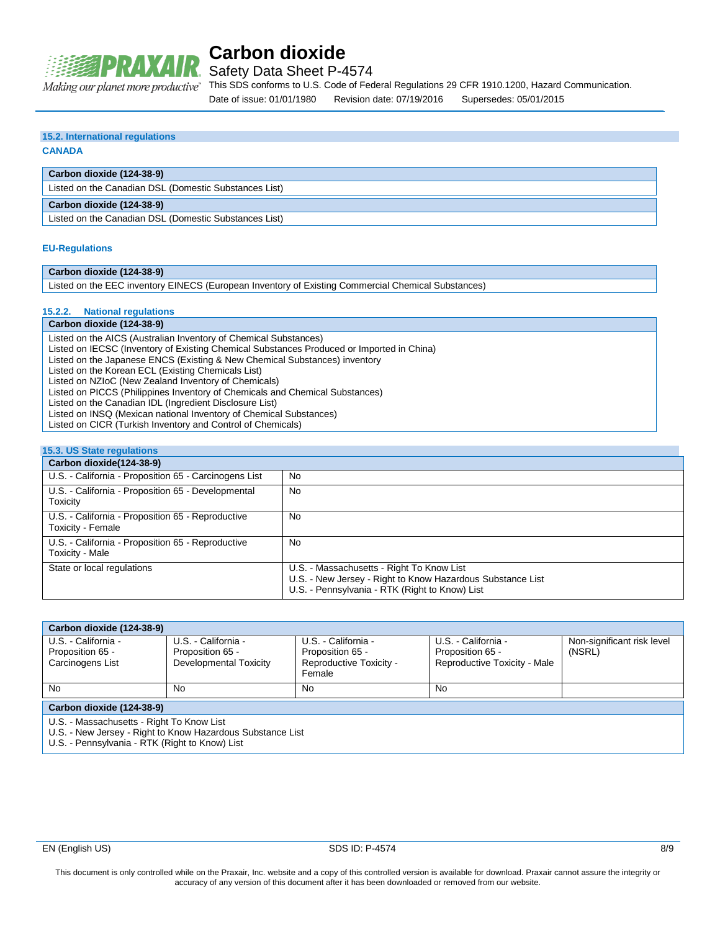

Safety Data Sheet P-4574

This SDS conforms to U.S. Code of Federal Regulations 29 CFR 1910.1200, Hazard Communication. Date of issue: 01/01/1980 Revision date: 07/19/2016 Supersedes: 05/01/2015

### **15.2. International regulations**

#### **CANADA**

**Carbon dioxide (124-38-9)**

Listed on the Canadian DSL (Domestic Substances List)

#### **Carbon dioxide (124-38-9)**

Listed on the Canadian DSL (Domestic Substances List)

#### **EU-Regulations**

| Carbon dioxide (124-38-9)                                                                            |
|------------------------------------------------------------------------------------------------------|
| . I berala de la EEA broadcar EINEAA /Errora de Troudeau of Esbeba Administrat Alambert Antonio de L |

Listed on the EEC inventory EINECS (European Inventory of Existing Commercial Chemical Substances)

### **15.2.2. National regulations**

### **Carbon dioxide (124-38-9)**

Listed on the AICS (Australian Inventory of Chemical Substances)

Listed on IECSC (Inventory of Existing Chemical Substances Produced or Imported in China)

Listed on the Japanese ENCS (Existing & New Chemical Substances) inventory

Listed on the Korean ECL (Existing Chemicals List)

Listed on NZIoC (New Zealand Inventory of Chemicals)

Listed on PICCS (Philippines Inventory of Chemicals and Chemical Substances)

Listed on the Canadian IDL (Ingredient Disclosure List)

Listed on INSQ (Mexican national Inventory of Chemical Substances)

Listed on CICR (Turkish Inventory and Control of Chemicals)

### **15.3. US State regulations**

| Carbon dioxide (124-38-9)                                              |                                                                                                                                                           |
|------------------------------------------------------------------------|-----------------------------------------------------------------------------------------------------------------------------------------------------------|
| U.S. - California - Proposition 65 - Carcinogens List                  | <b>No</b>                                                                                                                                                 |
| U.S. - California - Proposition 65 - Developmental<br>Toxicity         | No                                                                                                                                                        |
| U.S. - California - Proposition 65 - Reproductive<br>Toxicity - Female | No                                                                                                                                                        |
| U.S. - California - Proposition 65 - Reproductive<br>Toxicity - Male   | No                                                                                                                                                        |
| State or local regulations                                             | U.S. - Massachusetts - Right To Know List<br>U.S. - New Jersey - Right to Know Hazardous Substance List<br>U.S. - Pennsylvania - RTK (Right to Know) List |

| Carbon dioxide (124-38-9)                                  |                        |                                   |                              |                            |  |  |
|------------------------------------------------------------|------------------------|-----------------------------------|------------------------------|----------------------------|--|--|
| U.S. - California -                                        | U.S. - California -    | U.S. - California -               | U.S. - California -          | Non-significant risk level |  |  |
| Proposition 65 -                                           | Proposition 65 -       | Proposition 65 -                  | Proposition 65 -             | (NSRL)                     |  |  |
| Carcinogens List                                           | Developmental Toxicity | Reproductive Toxicity -<br>Female | Reproductive Toxicity - Male |                            |  |  |
| <b>No</b>                                                  | No                     | No                                | No                           |                            |  |  |
| Carbon dioxide (124-38-9)                                  |                        |                                   |                              |                            |  |  |
| U.S. - Massachusetts - Right To Know List                  |                        |                                   |                              |                            |  |  |
| U.S. - New Jersey - Right to Know Hazardous Substance List |                        |                                   |                              |                            |  |  |

U.S. - Pennsylvania - RTK (Right to Know) List